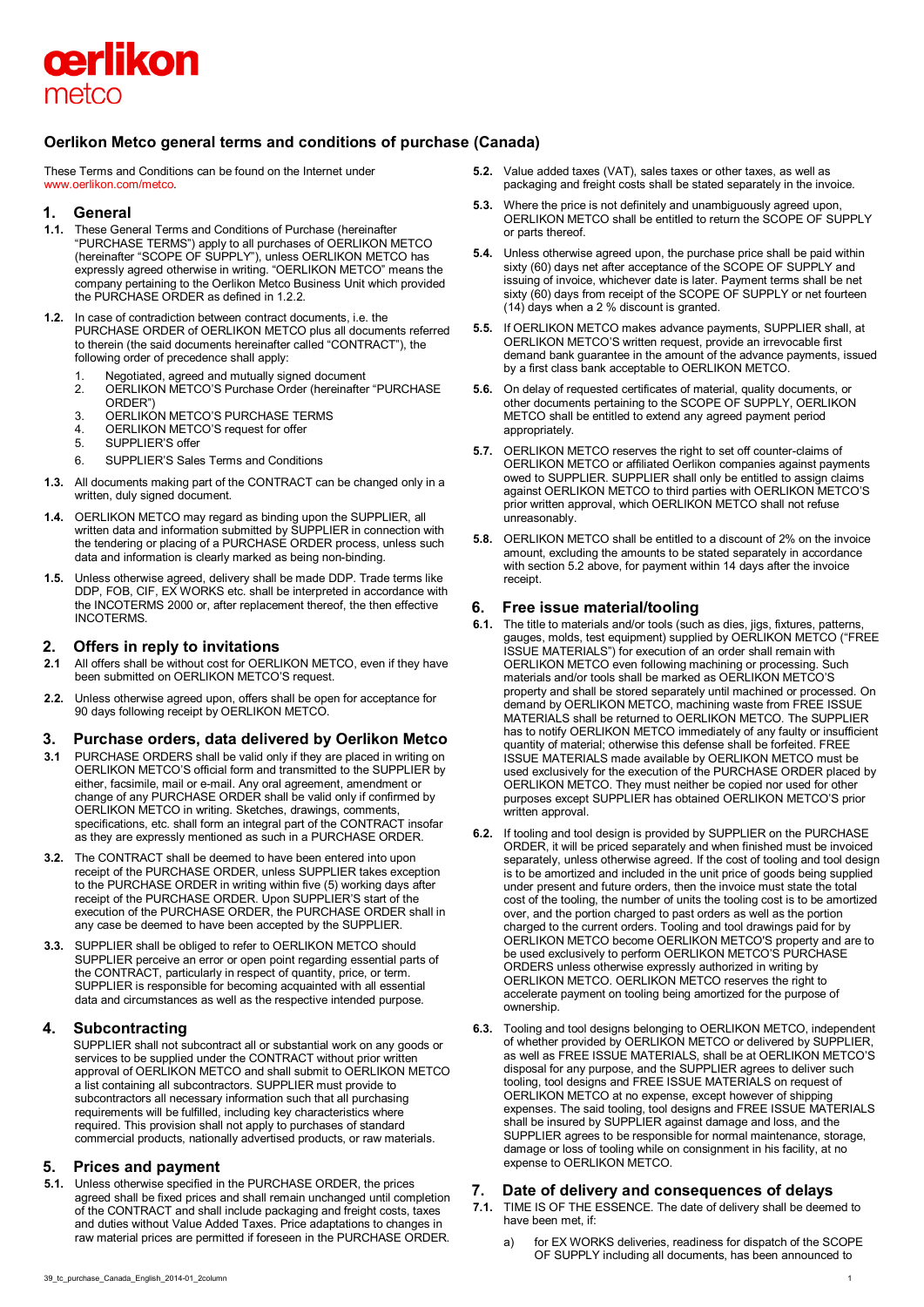

# **Oerlikon Metco general terms and conditions of purchase (Canada)**

These Terms and Conditions can be found on the Internet under [www.oerlikon.com/metco.](http://www.oerlikon.com/metco)

## **1. General**

- **1.1.** These General Terms and Conditions of Purchase (hereinafter "PURCHASE TERMS") apply to all purchases of OERLIKON METCO (hereinafter "SCOPE OF SUPPLY"), unless OERLIKON METCO has expressly agreed otherwise in writing. "OERLIKON METCO" means the company pertaining to the Oerlikon Metco Business Unit which provided the PURCHASE ORDER as defined in 1.2.2.
- **1.2.** In case of contradiction between contract documents, i.e. the PURCHASE ORDER of OERLIKON METCO plus all documents referred to therein (the said documents hereinafter called "CONTRACT"), the following order of precedence shall apply:
	- 1. Negotiated, agreed and mutually signed document
	- 2. OERLIKON METCO'S Purchase Order (hereinafter "PURCHASE ORDER")
	- 3. OERLIKON METCO'S PURCHASE TERMS
	- 4. OERLIKON METCO'S request for offer<br>5. SUPPLIER'S offer
	- SUPPLIER'S offer
	- 6. SUPPLIER'S Sales Terms and Conditions
- **1.3.** All documents making part of the CONTRACT can be changed only in a written, duly signed document.
- **1.4.** OERLIKON METCO may regard as binding upon the SUPPLIER, all written data and information submitted by SUPPLIER in connection with the tendering or placing of a PURCHASE ORDER process, unless such data and information is clearly marked as being non-binding.
- **1.5.** Unless otherwise agreed, delivery shall be made DDP. Trade terms like DDP, FOB, CIF, EX WORKS etc. shall be interpreted in accordance with the INCOTERMS 2000 or, after replacement thereof, the then effective INCOTERMS.

# **2. Offers in reply to invitations**

- **2.1** All offers shall be without cost for OERLIKON METCO, even if they have been submitted on OERLIKON METCO'S request.
- **2.2.** Unless otherwise agreed upon, offers shall be open for acceptance for 90 days following receipt by OERLIKON METCO.

## **3. Purchase orders, data delivered by Oerlikon Metco**

- **3.1** PURCHASE ORDERS shall be valid only if they are placed in writing on OERLIKON METCO'S official form and transmitted to the SUPPLIER by either, facsimile, mail or e-mail. Any oral agreement, amendment or change of any PURCHASE ORDER shall be valid only if confirmed by OERLIKON METCO in writing. Sketches, drawings, comments, specifications, etc. shall form an integral part of the CONTRACT insofar as they are expressly mentioned as such in a PURCHASE ORDER.
- **3.2.** The CONTRACT shall be deemed to have been entered into upon receipt of the PURCHASE ORDER, unless SUPPLIER takes exception to the PURCHASE ORDER in writing within five (5) working days after receipt of the PURCHASE ORDER. Upon SUPPLIER'S start of the execution of the PURCHASE ORDER, the PURCHASE ORDER shall in any case be deemed to have been accepted by the SUPPLIER.
- **3.3.** SUPPLIER shall be obliged to refer to OERLIKON METCO should SUPPLIER perceive an error or open point regarding essential parts of the CONTRACT, particularly in respect of quantity, price, or term. SUPPLIER is responsible for becoming acquainted with all essential data and circumstances as well as the respective intended purpose.

# **4. Subcontracting**

SUPPLIER shall not subcontract all or substantial work on any goods or services to be supplied under the CONTRACT without prior written approval of OERLIKON METCO and shall submit to OERLIKON METCO a list containing all subcontractors. SUPPLIER must provide to subcontractors all necessary information such that all purchasing requirements will be fulfilled, including key characteristics where required. This provision shall not apply to purchases of standard commercial products, nationally advertised products, or raw materials.

# **5. Prices and payment**

**5.1.** Unless otherwise specified in the PURCHASE ORDER, the prices agreed shall be fixed prices and shall remain unchanged until completion of the CONTRACT and shall include packaging and freight costs, taxes and duties without Value Added Taxes. Price adaptations to changes in raw material prices are permitted if foreseen in the PURCHASE ORDER.

- **5.2.** Value added taxes (VAT), sales taxes or other taxes, as well as packaging and freight costs shall be stated separately in the invoice.
- **5.3.** Where the price is not definitely and unambiguously agreed upon, OERLIKON METCO shall be entitled to return the SCOPE OF SUPPLY or parts thereof.
- **5.4.** Unless otherwise agreed upon, the purchase price shall be paid within sixty (60) days net after acceptance of the SCOPE OF SUPPLY and issuing of invoice, whichever date is later. Payment terms shall be net sixty (60) days from receipt of the SCOPE OF SUPPLY or net fourteen (14) days when a 2 % discount is granted.
- **5.5.** If OERLIKON METCO makes advance payments, SUPPLIER shall, at OERLIKON METCO'S written request, provide an irrevocable first demand bank guarantee in the amount of the advance payments, issued by a first class bank acceptable to OERLIKON METCO.
- **5.6.** On delay of requested certificates of material, quality documents, or other documents pertaining to the SCOPE OF SUPPLY, OERLIKON METCO shall be entitled to extend any agreed payment period appropriately.
- **5.7.** OERLIKON METCO reserves the right to set off counter-claims of OERLIKON METCO or affiliated Oerlikon companies against payments owed to SUPPLIER. SUPPLIER shall only be entitled to assign claims against OERLIKON METCO to third parties with OERLIKON METCO'S prior written approval, which OERLIKON METCO shall not refuse unreasonably.
- **5.8.** OERLIKON METCO shall be entitled to a discount of 2% on the invoice amount, excluding the amounts to be stated separately in accordance with section 5.2 above, for payment within 14 days after the invoice receipt.

# **6. Free issue material/tooling**

- **6.1.** The title to materials and/or tools (such as dies, jigs, fixtures, patterns, gauges, molds, test equipment) supplied by OERLIKON METCO ("FREE ISSUE MATERIALS") for execution of an order shall remain with OERLIKON METCO even following machining or processing. Such materials and/or tools shall be marked as OERLIKON METCO'S property and shall be stored separately until machined or processed. On demand by OERLIKON METCO, machining waste from FREE ISSUE MATERIALS shall be returned to OERLIKON METCO. The SUPPLIER has to notify OERLIKON METCO immediately of any faulty or insufficient quantity of material; otherwise this defense shall be forfeited. FREE ISSUE MATERIALS made available by OERLIKON METCO must be used exclusively for the execution of the PURCHASE ORDER placed by OERLIKON METCO. They must neither be copied nor used for other purposes except SUPPLIER has obtained OERLIKON METCO'S prior written approval.
- **6.2.** If tooling and tool design is provided by SUPPLIER on the PURCHASE ORDER, it will be priced separately and when finished must be invoiced separately, unless otherwise agreed. If the cost of tooling and tool design is to be amortized and included in the unit price of goods being supplied under present and future orders, then the invoice must state the total cost of the tooling, the number of units the tooling cost is to be amortized over, and the portion charged to past orders as well as the portion charged to the current orders. Tooling and tool drawings paid for by OERLIKON METCO become OERLIKON METCO'S property and are to be used exclusively to perform OERLIKON METCO'S PURCHASE ORDERS unless otherwise expressly authorized in writing by OERLIKON METCO. OERLIKON METCO reserves the right to accelerate payment on tooling being amortized for the purpose of ownership.
- **6.3.** Tooling and tool designs belonging to OERLIKON METCO, independent of whether provided by OERLIKON METCO or delivered by SUPPLIER, as well as FREE ISSUE MATERIALS, shall be at OERLIKON METCO'S disposal for any purpose, and the SUPPLIER agrees to deliver such tooling, tool designs and FREE ISSUE MATERIALS on request of OERLIKON METCO at no expense, except however of shipping expenses. The said tooling, tool designs and FREE ISSUE MATERIALS shall be insured by SUPPLIER against damage and loss, and the SUPPLIER agrees to be responsible for normal maintenance, storage, damage or loss of tooling while on consignment in his facility, at no expense to OERLIKON METCO.

# **7. Date of delivery and consequences of delays**

- **7.1.** TIME IS OF THE ESSENCE. The date of delivery shall be deemed to have been met, if:
	- a) for EX WORKS deliveries, readiness for dispatch of the SCOPE OF SUPPLY including all documents, has been announced to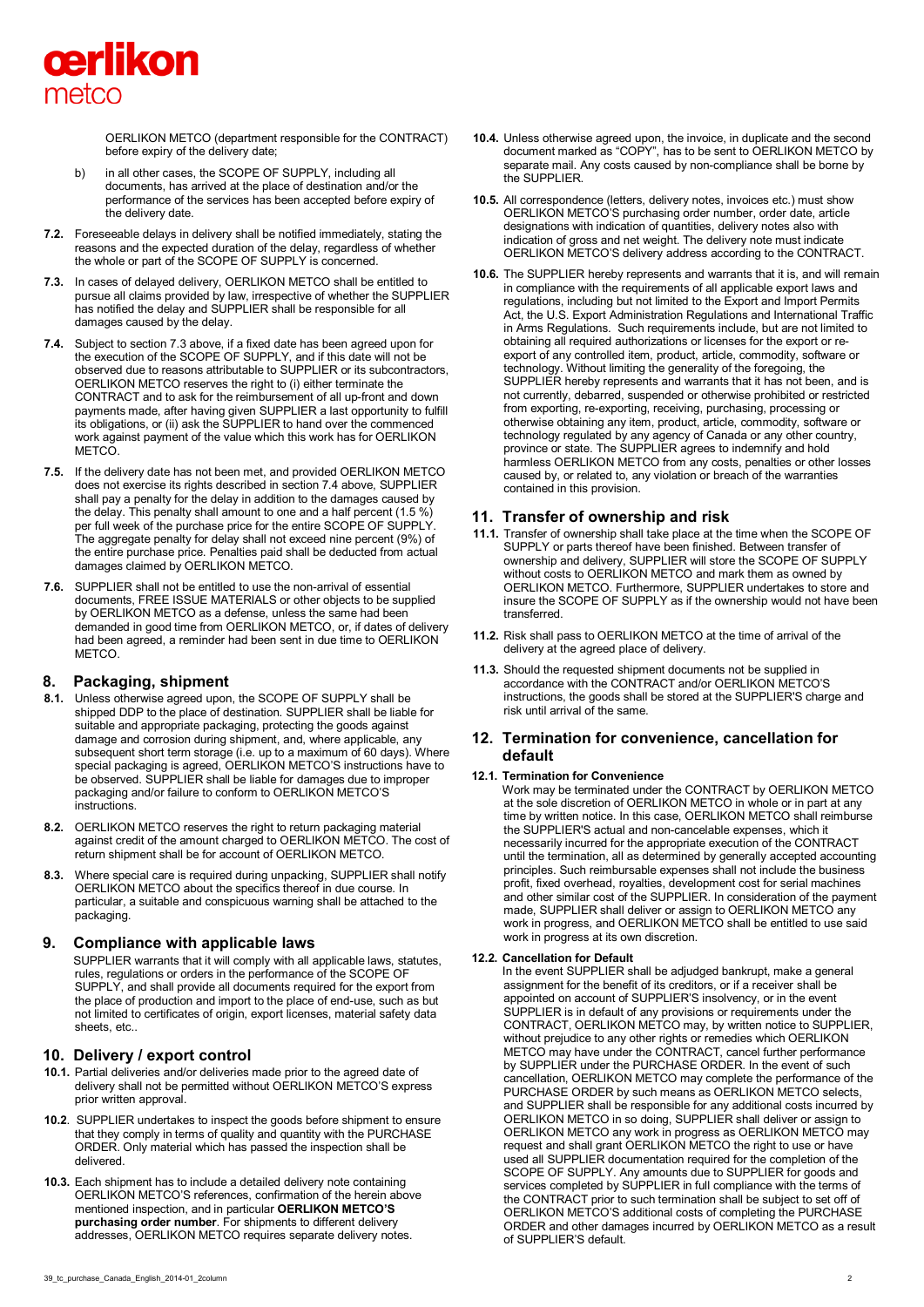

OERLIKON METCO (department responsible for the CONTRACT) before expiry of the delivery date;

- b) in all other cases, the SCOPE OF SUPPLY, including all documents, has arrived at the place of destination and/or the performance of the services has been accepted before expiry of the delivery date.
- **7.2.** Foreseeable delays in delivery shall be notified immediately, stating the reasons and the expected duration of the delay, regardless of whether the whole or part of the SCOPE OF SUPPLY is concerned.
- **7.3.** In cases of delayed delivery, OERLIKON METCO shall be entitled to pursue all claims provided by law, irrespective of whether the SUPPLIER has notified the delay and SUPPLIER shall be responsible for all damages caused by the delay.
- **7.4.** Subject to section 7.3 above, if a fixed date has been agreed upon for the execution of the SCOPE OF SUPPLY, and if this date will not be observed due to reasons attributable to SUPPLIER or its subcontractors, OERLIKON METCO reserves the right to (i) either terminate the CONTRACT and to ask for the reimbursement of all up-front and down payments made, after having given SUPPLIER a last opportunity to fulfill its obligations, or (ii) ask the SUPPLIER to hand over the commenced work against payment of the value which this work has for OERLIKON **METCO**
- **7.5.** If the delivery date has not been met, and provided OERLIKON METCO does not exercise its rights described in section 7.4 above, SUPPLIER shall pay a penalty for the delay in addition to the damages caused by the delay. This penalty shall amount to one and a half percent (1.5 %) per full week of the purchase price for the entire SCOPE OF SUPPLY. The aggregate penalty for delay shall not exceed nine percent (9%) of the entire purchase price. Penalties paid shall be deducted from actual damages claimed by OERLIKON METCO.
- **7.6.** SUPPLIER shall not be entitled to use the non-arrival of essential documents, FREE ISSUE MATERIALS or other objects to be supplied by OERLIKON METCO as a defense, unless the same had been demanded in good time from OERLIKON METCO, or, if dates of delivery had been agreed, a reminder had been sent in due time to OERLIKON METCO.

# **8. Packaging, shipment**

- **8.1.** Unless otherwise agreed upon, the SCOPE OF SUPPLY shall be shipped DDP to the place of destination. SUPPLIER shall be liable for suitable and appropriate packaging, protecting the goods against damage and corrosion during shipment, and, where applicable, any subsequent short term storage (i.e. up to a maximum of 60 days). Where special packaging is agreed, OERLIKON METCO'S instructions have to be observed. SUPPLIER shall be liable for damages due to improper packaging and/or failure to conform to OERLIKON METCO'S instructions.
- **8.2.** OERLIKON METCO reserves the right to return packaging material against credit of the amount charged to OERLIKON METCO. The cost of return shipment shall be for account of OERLIKON METCO.
- **8.3.** Where special care is required during unpacking, SUPPLIER shall notify OERLIKON METCO about the specifics thereof in due course. In particular, a suitable and conspicuous warning shall be attached to the packaging.

## **9. Compliance with applicable laws**

SUPPLIER warrants that it will comply with all applicable laws, statutes, rules, regulations or orders in the performance of the SCOPE OF SUPPLY, and shall provide all documents required for the export from the place of production and import to the place of end-use, such as but not limited to certificates of origin, export licenses, material safety data sheets, etc..

## **10. Delivery / export control**

- **10.1.** Partial deliveries and/or deliveries made prior to the agreed date of delivery shall not be permitted without OERLIKON METCO'S express prior written approval.
- **10.2**. SUPPLIER undertakes to inspect the goods before shipment to ensure that they comply in terms of quality and quantity with the PURCHASE ORDER. Only material which has passed the inspection shall be delivered.
- **10.3.** Each shipment has to include a detailed delivery note containing OERLIKON METCO'S references, confirmation of the herein above mentioned inspection, and in particular **OERLIKON METCO'S purchasing order number**. For shipments to different delivery addresses, OERLIKON METCO requires separate delivery notes.
- **10.4.** Unless otherwise agreed upon, the invoice, in duplicate and the second document marked as "COPY", has to be sent to OERLIKON METCO by separate mail. Any costs caused by non-compliance shall be borne by the SUPPLIER.
- **10.5.** All correspondence (letters, delivery notes, invoices etc.) must show OERLIKON METCO'S purchasing order number, order date, article designations with indication of quantities, delivery notes also with indication of gross and net weight. The delivery note must indicate OERLIKON METCO'S delivery address according to the CONTRACT.
- **10.6.** The SUPPLIER hereby represents and warrants that it is, and will remain in compliance with the requirements of all applicable export laws and regulations, including but not limited to the Export and Import Permits Act, the U.S. Export Administration Regulations and International Traffic in Arms Regulations. Such requirements include, but are not limited to obtaining all required authorizations or licenses for the export or reexport of any controlled item, product, article, commodity, software or technology. Without limiting the generality of the foregoing, the SUPPLIER hereby represents and warrants that it has not been, and is not currently, debarred, suspended or otherwise prohibited or restricted from exporting, re-exporting, receiving, purchasing, processing or otherwise obtaining any item, product, article, commodity, software or technology regulated by any agency of Canada or any other country, province or state. The SUPPLIER agrees to indemnify and hold harmless OERLIKON METCO from any costs, penalties or other losses caused by, or related to, any violation or breach of the warranties contained in this provision.

## **11. Transfer of ownership and risk**

- **11.1.** Transfer of ownership shall take place at the time when the SCOPE OF SUPPLY or parts thereof have been finished. Between transfer of ownership and delivery, SUPPLIER will store the SCOPE OF SUPPLY without costs to OERLIKON METCO and mark them as owned by OERLIKON METCO. Furthermore, SUPPLIER undertakes to store and insure the SCOPE OF SUPPLY as if the ownership would not have been transferred.
- **11.2.** Risk shall pass to OERLIKON METCO at the time of arrival of the delivery at the agreed place of delivery.
- **11.3.** Should the requested shipment documents not be supplied in accordance with the CONTRACT and/or OERLIKON METCO'S instructions, the goods shall be stored at the SUPPLIER'S charge and risk until arrival of the same.

## **12. Termination for convenience, cancellation for default**

#### **12.1. Termination for Convenience**

Work may be terminated under the CONTRACT by OERLIKON METCO at the sole discretion of OERLIKON METCO in whole or in part at any time by written notice. In this case, OERLIKON METCO shall reimburse the SUPPLIER'S actual and non-cancelable expenses, which it necessarily incurred for the appropriate execution of the CONTRACT until the termination, all as determined by generally accepted accounting principles. Such reimbursable expenses shall not include the business profit, fixed overhead, royalties, development cost for serial machines and other similar cost of the SUPPLIER. In consideration of the payment made, SUPPLIER shall deliver or assign to OERLIKON METCO any work in progress, and OERLIKON METCO shall be entitled to use said work in progress at its own discretion.

#### **12.2. Cancellation for Default**

In the event SUPPLIER shall be adjudged bankrupt, make a general assignment for the benefit of its creditors, or if a receiver shall be appointed on account of SUPPLIER'S insolvency, or in the event SUPPLIER is in default of any provisions or requirements under the CONTRACT, OERLIKON METCO may, by written notice to SUPPLIER, without prejudice to any other rights or remedies which OERLIKON METCO may have under the CONTRACT, cancel further performance by SUPPLIER under the PURCHASE ORDER. In the event of such cancellation, OERLIKON METCO may complete the performance of the PURCHASE ORDER by such means as OERLIKON METCO selects, and SUPPLIER shall be responsible for any additional costs incurred by OERLIKON METCO in so doing, SUPPLIER shall deliver or assign to OERLIKON METCO any work in progress as OERLIKON METCO may request and shall grant OERLIKON METCO the right to use or have used all SUPPLIER documentation required for the completion of the SCOPE OF SUPPLY. Any amounts due to SUPPLIER for goods and services completed by SUPPLIER in full compliance with the terms of the CONTRACT prior to such termination shall be subject to set off of OERLIKON METCO'S additional costs of completing the PURCHASE ORDER and other damages incurred by OERLIKON METCO as a result of SUPPLIER'S default.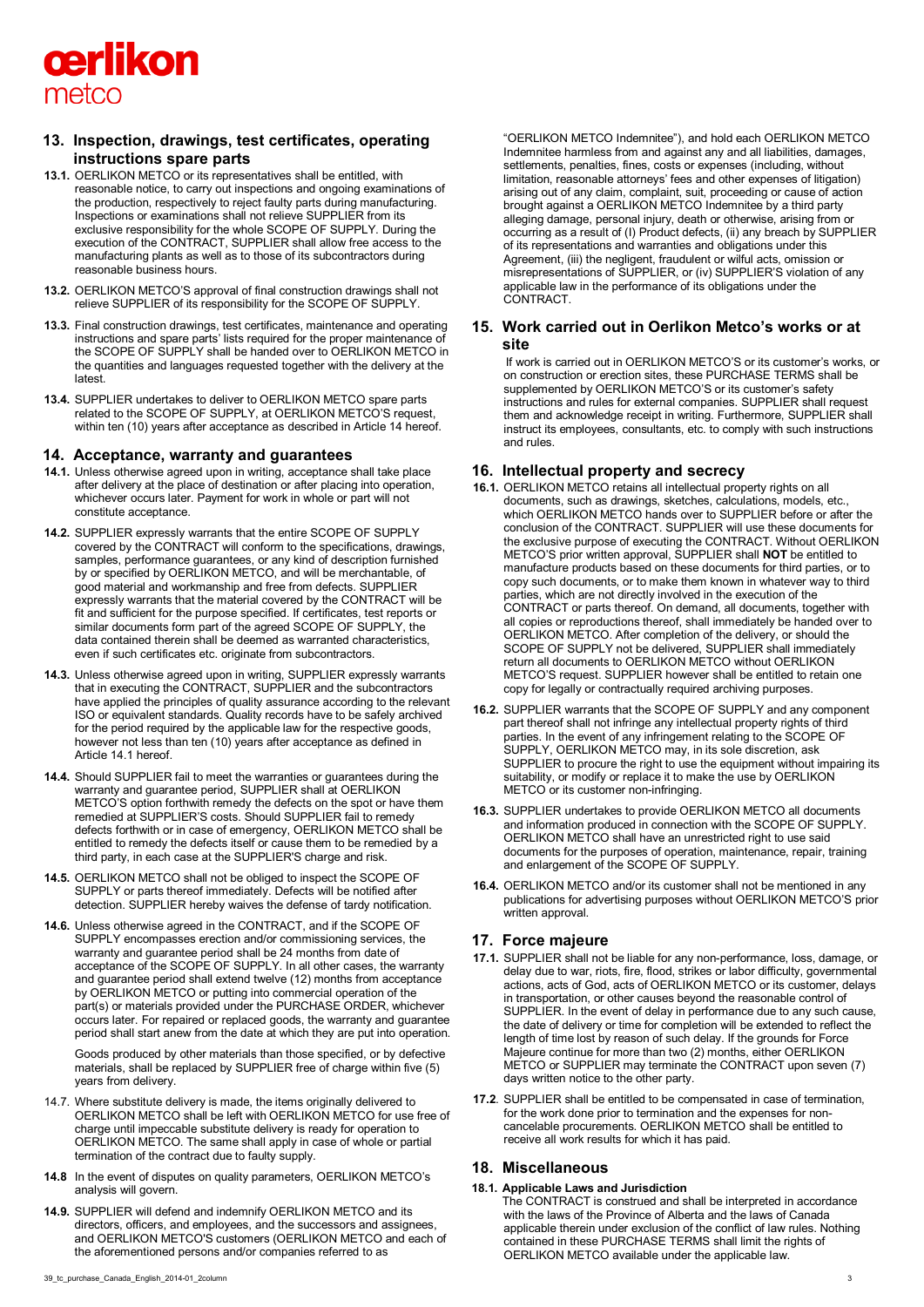

# **13. Inspection, drawings, test certificates, operating instructions spare parts**

- **13.1.** OERLIKON METCO or its representatives shall be entitled, with reasonable notice, to carry out inspections and ongoing examinations of the production, respectively to reject faulty parts during manufacturing. Inspections or examinations shall not relieve SUPPLIER from its exclusive responsibility for the whole SCOPE OF SUPPLY. During the execution of the CONTRACT, SUPPLIER shall allow free access to the manufacturing plants as well as to those of its subcontractors during reasonable business hours.
- **13.2.** OERLIKON METCO'S approval of final construction drawings shall not relieve SUPPLIER of its responsibility for the SCOPE OF SUPPLY.
- **13.3.** Final construction drawings, test certificates, maintenance and operating instructions and spare parts' lists required for the proper maintenance of the SCOPE OF SUPPLY shall be handed over to OERLIKON METCO in the quantities and languages requested together with the delivery at the latest.
- **13.4.** SUPPLIER undertakes to deliver to OERLIKON METCO spare parts related to the SCOPE OF SUPPLY, at OERLIKON METCO'S request, within ten (10) years after acceptance as described in Article 14 hereof.

### **14. Acceptance, warranty and guarantees**

- **14.1.** Unless otherwise agreed upon in writing, acceptance shall take place after delivery at the place of destination or after placing into operation, whichever occurs later. Payment for work in whole or part will not constitute acceptance.
- **14.2.** SUPPLIER expressly warrants that the entire SCOPE OF SUPPLY covered by the CONTRACT will conform to the specifications, drawings, samples, performance guarantees, or any kind of description furnished by or specified by OERLIKON METCO, and will be merchantable, of good material and workmanship and free from defects. SUPPLIER expressly warrants that the material covered by the CONTRACT will be fit and sufficient for the purpose specified. If certificates, test reports or similar documents form part of the agreed SCOPE OF SUPPLY, the data contained therein shall be deemed as warranted characteristics, even if such certificates etc. originate from subcontractors.
- **14.3.** Unless otherwise agreed upon in writing, SUPPLIER expressly warrants that in executing the CONTRACT, SUPPLIER and the subcontractors have applied the principles of quality assurance according to the relevant ISO or equivalent standards. Quality records have to be safely archived for the period required by the applicable law for the respective goods, however not less than ten (10) years after acceptance as defined in Article 14.1 hereof.
- **14.4.** Should SUPPLIER fail to meet the warranties or guarantees during the warranty and guarantee period, SUPPLIER shall at OERLIKON METCO'S option forthwith remedy the defects on the spot or have them remedied at SUPPLIER'S costs. Should SUPPLIER fail to remedy defects forthwith or in case of emergency, OERLIKON METCO shall be entitled to remedy the defects itself or cause them to be remedied by a third party, in each case at the SUPPLIER'S charge and risk.
- **14.5.** OERLIKON METCO shall not be obliged to inspect the SCOPE OF SUPPLY or parts thereof immediately. Defects will be notified after detection. SUPPLIER hereby waives the defense of tardy notification.
- **14.6.** Unless otherwise agreed in the CONTRACT, and if the SCOPE OF SUPPLY encompasses erection and/or commissioning services, the warranty and guarantee period shall be 24 months from date of acceptance of the SCOPE OF SUPPLY. In all other cases, the warranty and guarantee period shall extend twelve (12) months from acceptance by OERLIKON METCO or putting into commercial operation of the part(s) or materials provided under the PURCHASE ORDER, whichever occurs later. For repaired or replaced goods, the warranty and guarantee period shall start anew from the date at which they are put into operation.

Goods produced by other materials than those specified, or by defective materials, shall be replaced by SUPPLIER free of charge within five (5) years from delivery.

- 14.7. Where substitute delivery is made, the items originally delivered to OERLIKON METCO shall be left with OERLIKON METCO for use free of charge until impeccable substitute delivery is ready for operation to OERLIKON METCO. The same shall apply in case of whole or partial termination of the contract due to faulty supply.
- **14.8** In the event of disputes on quality parameters, OERLIKON METCO's analysis will govern.
- **14.9.** SUPPLIER will defend and indemnify OERLIKON METCO and its directors, officers, and employees, and the successors and assignees, and OERLIKON METCO'S customers (OERLIKON METCO and each of the aforementioned persons and/or companies referred to as

"OERLIKON METCO Indemnitee"), and hold each OERLIKON METCO Indemnitee harmless from and against any and all liabilities, damages, settlements, penalties, fines, costs or expenses (including, without limitation, reasonable attorneys' fees and other expenses of litigation) arising out of any claim, complaint, suit, proceeding or cause of action brought against a OERLIKON METCO Indemnitee by a third party alleging damage, personal injury, death or otherwise, arising from or occurring as a result of (I) Product defects, (ii) any breach by SUPPLIER of its representations and warranties and obligations under this Agreement, (iii) the negligent, fraudulent or wilful acts, omission or misrepresentations of SUPPLIER, or (iv) SUPPLIER'S violation of any applicable law in the performance of its obligations under the CONTRACT.

## **15. Work carried out in Oerlikon Metco's works or at site**

If work is carried out in OERLIKON METCO'S or its customer's works, or on construction or erection sites, these PURCHASE TERMS shall be supplemented by OERLIKON METCO'S or its customer's safety instructions and rules for external companies. SUPPLIER shall request them and acknowledge receipt in writing. Furthermore, SUPPLIER shall instruct its employees, consultants, etc. to comply with such instructions and rules.

# **16. Intellectual property and secrecy**

- **16.1.** OERLIKON METCO retains all intellectual property rights on all documents, such as drawings, sketches, calculations, models, etc., which OERLIKON METCO hands over to SUPPLIER before or after the conclusion of the CONTRACT. SUPPLIER will use these documents for the exclusive purpose of executing the CONTRACT. Without OERLIKON METCO'S prior written approval, SUPPLIER shall **NOT** be entitled to manufacture products based on these documents for third parties, or to copy such documents, or to make them known in whatever way to third parties, which are not directly involved in the execution of the CONTRACT or parts thereof. On demand, all documents, together with all copies or reproductions thereof, shall immediately be handed over to OERLIKON METCO. After completion of the delivery, or should the SCOPE OF SUPPLY not be delivered, SUPPLIER shall immediately return all documents to OERLIKON METCO without OERLIKON METCO'S request. SUPPLIER however shall be entitled to retain one copy for legally or contractually required archiving purposes.
- **16.2.** SUPPLIER warrants that the SCOPE OF SUPPLY and any component part thereof shall not infringe any intellectual property rights of third parties. In the event of any infringement relating to the SCOPE OF SUPPLY, OERLIKON METCO may, in its sole discretion, ask SUPPLIER to procure the right to use the equipment without impairing its suitability, or modify or replace it to make the use by OERLIKON METCO or its customer non-infringing.
- **16.3.** SUPPLIER undertakes to provide OERLIKON METCO all documents and information produced in connection with the SCOPE OF SUPPLY. OERLIKON METCO shall have an unrestricted right to use said documents for the purposes of operation, maintenance, repair, training and enlargement of the SCOPE OF SUPPLY.
- **16.4.** OERLIKON METCO and/or its customer shall not be mentioned in any publications for advertising purposes without OERLIKON METCO'S prior written approval.

# **17. Force majeure**

- **17.1.** SUPPLIER shall not be liable for any non-performance, loss, damage, or delay due to war, riots, fire, flood, strikes or labor difficulty, governmental actions, acts of God, acts of OERLIKON METCO or its customer, delays in transportation, or other causes beyond the reasonable control of SUPPLIER. In the event of delay in performance due to any such cause, the date of delivery or time for completion will be extended to reflect the length of time lost by reason of such delay. If the grounds for Force Majeure continue for more than two (2) months, either OERLIKON METCO or SUPPLIER may terminate the CONTRACT upon seven (7) days written notice to the other party.
- **17.2**. SUPPLIER shall be entitled to be compensated in case of termination, for the work done prior to termination and the expenses for noncancelable procurements. OERLIKON METCO shall be entitled to receive all work results for which it has paid.

## **18. Miscellaneous**

## **18.1. Applicable Laws and Jurisdiction**

The CONTRACT is construed and shall be interpreted in accordance with the laws of the Province of Alberta and the laws of Canada applicable therein under exclusion of the conflict of law rules. Nothing contained in these PURCHASE TERMS shall limit the rights of OERLIKON METCO available under the applicable law.